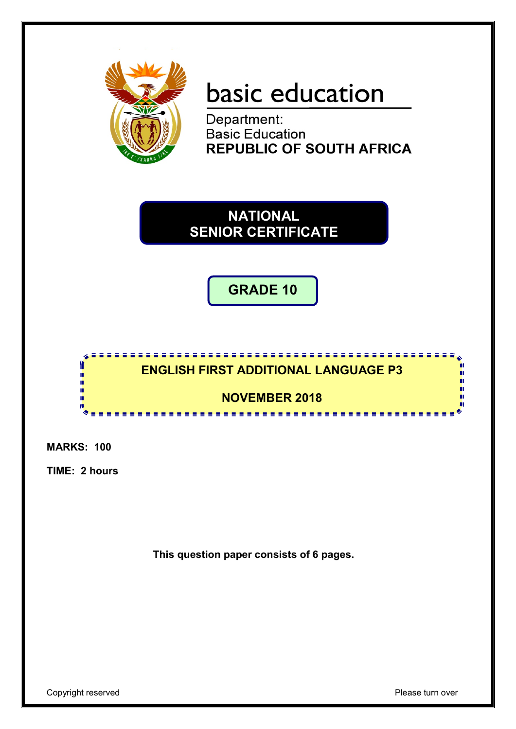

# **basic education**<br>Department:

**Basic Education REPUBLIC OF SOUTH AFRICA** 

**NATIONAL SENIOR CERTIFICATE**

**GRADE 10**



**MARKS: 100**

**TIME: 2 hours**

**This question paper consists of 6 pages.**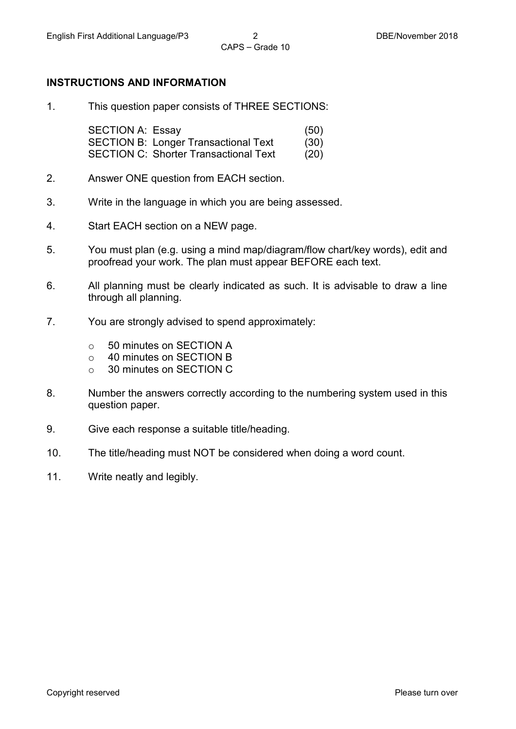# **INSTRUCTIONS AND INFORMATION**

1. This question paper consists of THREE SECTIONS:

SECTION A: Essay (50) SECTION B: Longer Transactional Text (30) SECTION C: Shorter Transactional Text (20)

- 2. Answer ONE question from EACH section.
- 3. Write in the language in which you are being assessed.
- 4. Start EACH section on a NEW page.
- 5. You must plan (e.g. using a mind map/diagram/flow chart/key words), edit and proofread your work. The plan must appear BEFORE each text.
- 6. All planning must be clearly indicated as such. It is advisable to draw a line through all planning.
- 7. You are strongly advised to spend approximately:
	- $\circ$  50 minutes on SECTION A<br> $\circ$  40 minutes on SECTION B
	- 40 minutes on SECTION B<br>○ 30 minutes on SECTION C
	- 30 minutes on SECTION C
- 8. Number the answers correctly according to the numbering system used in this question paper.
- 9. Give each response a suitable title/heading.
- 10. The title/heading must NOT be considered when doing a word count.
- 11. Write neatly and legibly.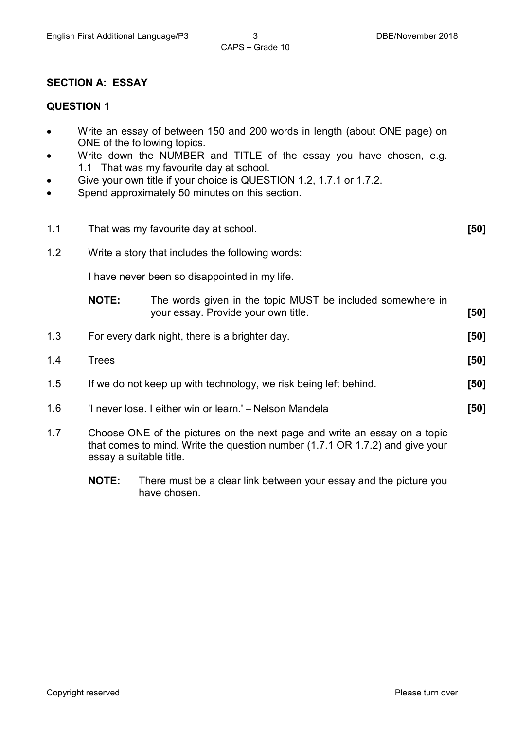# CAPS – Grade 10

# **SECTION A: ESSAY**

# **QUESTION 1**

- Write an essay of between 150 and 200 words in length (about ONE page) on ONE of the following topics.
- Write down the NUMBER and TITLE of the essay you have chosen, e.g. 1.1 That was my favourite day at school.
- Give your own title if your choice is QUESTION 1.2, 1.7.1 or 1.7.2.
- Spend approximately 50 minutes on this section.

| 1.1 | That was my favourite day at school.                                                                                                                                                 |                                                                                                   | [50] |
|-----|--------------------------------------------------------------------------------------------------------------------------------------------------------------------------------------|---------------------------------------------------------------------------------------------------|------|
| 1.2 | Write a story that includes the following words:                                                                                                                                     |                                                                                                   |      |
|     | I have never been so disappointed in my life.                                                                                                                                        |                                                                                                   |      |
|     | <b>NOTE:</b>                                                                                                                                                                         | The words given in the topic MUST be included somewhere in<br>your essay. Provide your own title. | [50] |
| 1.3 | For every dark night, there is a brighter day.                                                                                                                                       |                                                                                                   | [50] |
| 1.4 | <b>Trees</b>                                                                                                                                                                         |                                                                                                   | [50] |
| 1.5 | If we do not keep up with technology, we risk being left behind.                                                                                                                     |                                                                                                   | [50] |
| 1.6 | 'I never lose. I either win or learn.' – Nelson Mandela                                                                                                                              |                                                                                                   | [50] |
| 1.7 | Choose ONE of the pictures on the next page and write an essay on a topic<br>that comes to mind. Write the question number (1.7.1 OR 1.7.2) and give your<br>essay a suitable title. |                                                                                                   |      |

**NOTE:** There must be a clear link between your essay and the picture you have chosen.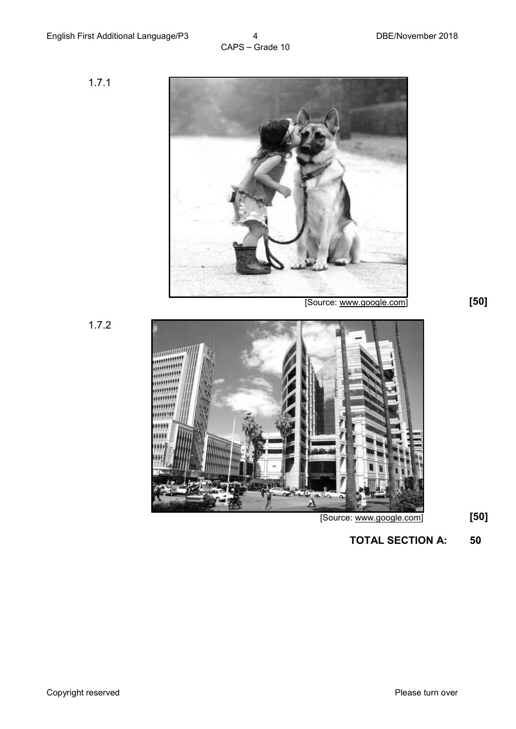1.7.1



1.7.2



[Source: www.google.com] **[50]**

**TOTAL SECTION A: 50**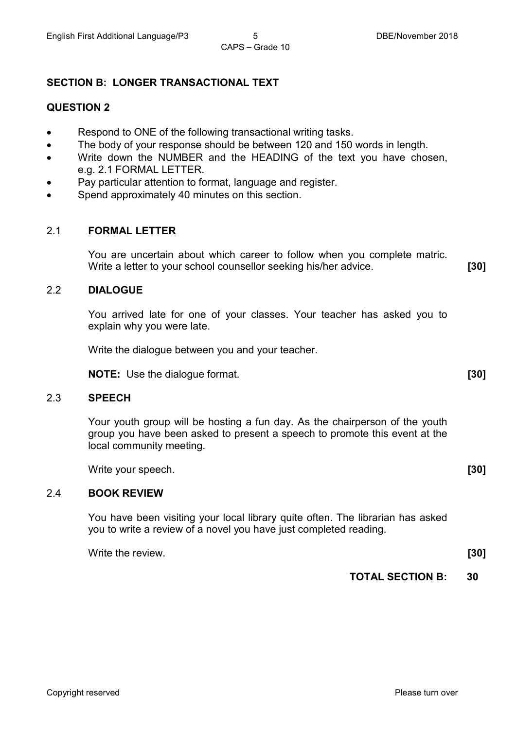# **SECTION B: LONGER TRANSACTIONAL TEXT**

## **QUESTION 2**

- Respond to ONE of the following transactional writing tasks.
- The body of your response should be between 120 and 150 words in length.
- Write down the NUMBER and the HEADING of the text you have chosen, e.g. 2.1 FORMAL LETTER.
- Pay particular attention to format, language and register.
- Spend approximately 40 minutes on this section.

## 2.1 **FORMAL LETTER**

You are uncertain about which career to follow when you complete matric. Write a letter to your school counsellor seeking his/her advice. **[30]**

# 2.2 **DIALOGUE**

You arrived late for one of your classes. Your teacher has asked you to explain why you were late.

Write the dialogue between you and your teacher.

**NOTE:** Use the dialogue format. **[30]**

#### 2.3 **SPEECH**

Your youth group will be hosting a fun day. As the chairperson of the youth group you have been asked to present a speech to promote this event at the local community meeting.

Write your speech. **[30]** 

#### 2.4 **BOOK REVIEW**

You have been visiting your local library quite often. The librarian has asked you to write a review of a novel you have just completed reading.

Write the review. **[30]** 

**TOTAL SECTION B: 30**